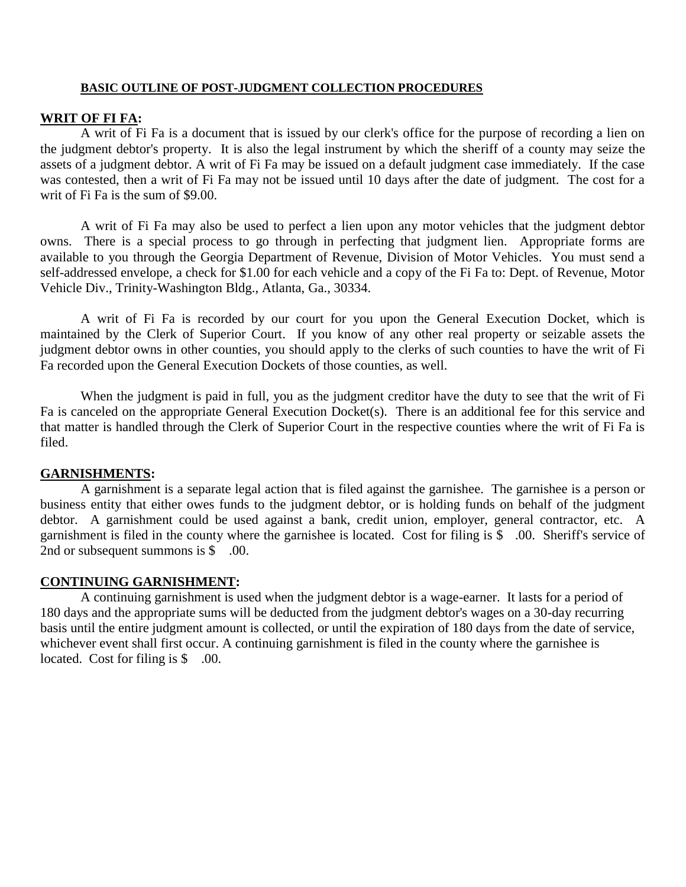## **BASIC OUTLINE OF POST-JUDGMENT COLLECTION PROCEDURES**

## **WRIT OF FI FA:**

A writ of Fi Fa is a document that is issued by our clerk's office for the purpose of recording a lien on the judgment debtor's property. It is also the legal instrument by which the sheriff of a county may seize the assets of a judgment debtor. A writ of Fi Fa may be issued on a default judgment case immediately. If the case was contested, then a writ of Fi Fa may not be issued until 10 days after the date of judgment. The cost for a writ of Fi Fa is the sum of \$9.00.

A writ of Fi Fa may also be used to perfect a lien upon any motor vehicles that the judgment debtor owns. There is a special process to go through in perfecting that judgment lien. Appropriate forms are available to you through the Georgia Department of Revenue, Division of Motor Vehicles. You must send a self-addressed envelope, a check for \$1.00 for each vehicle and a copy of the Fi Fa to: Dept. of Revenue, Motor Vehicle Div., Trinity-Washington Bldg., Atlanta, Ga., 30334.

A writ of Fi Fa is recorded by our court for you upon the General Execution Docket, which is maintained by the Clerk of Superior Court. If you know of any other real property or seizable assets the judgment debtor owns in other counties, you should apply to the clerks of such counties to have the writ of Fi Fa recorded upon the General Execution Dockets of those counties, as well.

When the judgment is paid in full, you as the judgment creditor have the duty to see that the writ of Fi Fa is canceled on the appropriate General Execution Docket(s). There is an additional fee for this service and that matter is handled through the Clerk of Superior Court in the respective counties where the writ of Fi Fa is filed.

## **GARNISHMENTS:**

A garnishment is a separate legal action that is filed against the garnishee. The garnishee is a person or business entity that either owes funds to the judgment debtor, or is holding funds on behalf of the judgment debtor. A garnishment could be used against a bank, credit union, employer, general contractor, etc. A garnishment is filed in the county where the garnishee is located. Cost for filing is \$ .00. Sheriff's service of 2nd or subsequent summons is \$ .00.

#### **CONTINUING GARNISHMENT:**

 A continuing garnishment is used when the judgment debtor is a wage-earner. It lasts for a period of 180 days and the appropriate sums will be deducted from the judgment debtor's wages on a 30-day recurring basis until the entire judgment amount is collected, or until the expiration of 180 days from the date of service, whichever event shall first occur. A continuing garnishment is filed in the county where the garnishee is located. Cost for filing is \$ .00.